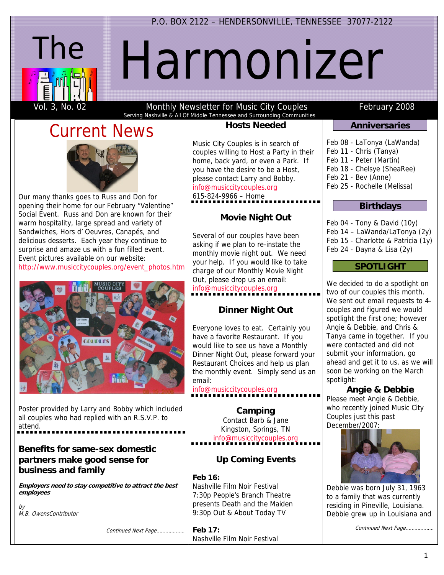#### P.O. BOX 2122 – HENDERSONVILLE, TENNESSEE 37077-2122

# Harmonizer

The

Vol. 3, No. 02 **Monthly Newsletter for Music City Couples** February 2008 Serving Nashville & All Of Middle Tennessee and Surrounding Communities

# Current News



Our many thanks goes to Russ and Don for opening their home for our February "Valentine" Social Event. Russ and Don are known for their warm hospitality, large spread and variety of Sandwiches, Hors d' Oeuvres, Canapés, and delicious desserts. Each year they continue to surprise and amaze us with a fun filled event. Event pictures available on our website: http://www.musiccitycouples.org/event\_photos.htm



Poster provided by Larry and Bobby which included all couples who had replied with an R.S.V.P. to attend.

#### **Benefits for same-sex domestic partners make good sense for business and family**

**Employers need to stay competitive to attract the best employees**

by M.B. OwensContributor

Continued Next Page……………….

#### **Hosts Needed**

Music City Couples is in search of couples willing to Host a Party in their home, back yard, or even a Park. If you have the desire to be a Host, please contact Larry and Bobby. info@musiccitycouples.org

615-824-9966 – Home

### **Movie Night Out**

Several of our couples have been asking if we plan to re-instate the monthly movie night out. We need your help. If you would like to take charge of our Monthly Movie Night Out, please drop us an email: info@musiccitycouples.org

#### **Dinner Night Out**

Everyone loves to eat. Certainly you have a favorite Restaurant. If you would like to see us have a Monthly Dinner Night Out, please forward your Restaurant Choices and help us plan the monthly event. Simply send us an email:

#### info@musiccitycouples.org

**Camping**  Contact Barb & Jane Kingston, Springs, TN info@musiccitycouples.org

### **Up Coming Events**

### **Feb 16:**

Nashville Film Noir Festival 7:30p People's Branch Theatre presents Death and the Maiden 9:30p Out & About Today TV

**Feb 17:**  Nashville Film Noir Festival

#### **Anniversaries**

Feb 08 - LaTonya (LaWanda) Feb 11 - Chris (Tanya) Feb 11 - Peter (Martin) Feb 18 - Chelsye (SheaRee) Feb 21 - Bev (Anne) Feb 25 - Rochelle (Melissa)

#### **Birthdays**

Feb 04 - Tony & David (10y) Feb 14 – LaWanda/LaTonya (2y) Feb 15 - Charlotte & Patricia (1y) Feb 24 - Dayna & Lisa (2y)

#### **SPOTLIGHT**

We decided to do a spotlight on two of our couples this month. We sent out email requests to 4couples and figured we would spotlight the first one; however Angie & Debbie, and Chris & Tanya came in together. If you were contacted and did not submit your information, go ahead and get it to us, as we will soon be working on the March spotlight:

**Angie & Debbie**  Please meet Angie & Debbie, who recently joined Music City Couples just this past December/2007:



Debbie was born July 31, 1963 to a family that was currently residing in Pineville, Louisiana. Debbie grew up in Louisiana and

Continued Next Page……………….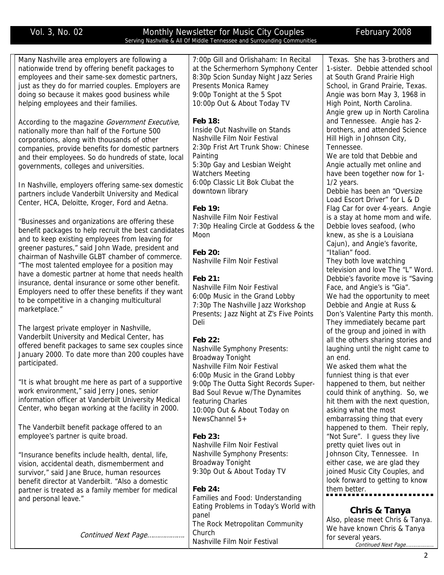#### Vol. 3, No. 02 **Monthly Newsletter for Music City Couples** February 2008 Serving Nashville & All Of Middle Tennessee and Surrounding Communities

| Many Nashville area employers are following a        | 7:00p Gill and Orlishaham: In Recital   | Texas. She has 3-brothers and      |
|------------------------------------------------------|-----------------------------------------|------------------------------------|
| nationwide trend by offering benefit packages to     | at the Schermerhorn Symphony Center     | 1-sister. Debbie attended school   |
| employees and their same-sex domestic partners,      | 8:30p Scion Sunday Night Jazz Series    | at South Grand Prairie High        |
| just as they do for married couples. Employers are   | Presents Monica Ramey                   | School, in Grand Prairie, Texas.   |
| doing so because it makes good business while        | 9:00p Tonight at the 5 Spot             | Angie was born May 3, 1968 in      |
| helping employees and their families.                | 10:00p Out & About Today TV             | High Point, North Carolina.        |
|                                                      |                                         | Angie grew up in North Carolina    |
| According to the magazine Government Executive,      | <b>Feb 18:</b>                          | and Tennessee. Angie has 2-        |
| nationally more than half of the Fortune 500         | Inside Out Nashville on Stands          | brothers, and attended Science     |
| corporations, along with thousands of other          | Nashville Film Noir Festival            | Hill High in Johnson City,         |
| companies, provide benefits for domestic partners    | 2:30p Frist Art Trunk Show: Chinese     | Tennessee.                         |
|                                                      | Painting                                | We are told that Debbie and        |
| and their employees. So do hundreds of state, local  | 5:30p Gay and Lesbian Weight            | Angie actually met online and      |
| governments, colleges and universities.              | <b>Watchers Meeting</b>                 | have been together now for 1-      |
|                                                      | 6:00p Classic Lit Bok Clubat the        | $1/2$ years.                       |
| In Nashville, employers offering same-sex domestic   |                                         |                                    |
| partners include Vanderbilt University and Medical   | downtown library                        | Debbie has been an "Oversize       |
| Center, HCA, Deloitte, Kroger, Ford and Aetna.       |                                         | Load Escort Driver" for L & D      |
|                                                      | Feb 19:                                 | Flag Car for over 4-years. Angie   |
| "Businesses and organizations are offering these     | Nashville Film Noir Festival            | is a stay at home mom and wife.    |
| benefit packages to help recruit the best candidates | 7:30p Healing Circle at Goddess & the   | Debbie loves seafood, (who         |
| and to keep existing employees from leaving for      | Moon                                    | knew, as she is a Louisiana        |
| greener pastures," said John Wade, president and     |                                         | Cajun), and Angie's favorite,      |
| chairman of Nashville GLBT chamber of commerce.      | <b>Feb 20:</b>                          | "Italian" food.                    |
| "The most talented employee for a position may       | Nashville Film Noir Festival            | They both love watching            |
| have a domestic partner at home that needs health    |                                         | television and love The "L" Word.  |
| insurance, dental insurance or some other benefit.   | Feb 21:                                 | Debbie's favorite move is "Saving  |
| Employers need to offer these benefits if they want  | Nashville Film Noir Festival            | Face, and Angie's is "Gia".        |
| to be competitive in a changing multicultural        | 6:00p Music in the Grand Lobby          | We had the opportunity to meet     |
| marketplace."                                        | 7:30p The Nashville Jazz Workshop       | Debbie and Angie at Russ &         |
|                                                      | Presents; Jazz Night at Z's Five Points | Don's Valentine Party this month.  |
| The largest private employer in Nashville,           | Deli                                    | They immediately became part       |
| Vanderbilt University and Medical Center, has        |                                         | of the group and joined in with    |
| offered benefit packages to same sex couples since   | Feb 22:                                 | all the others sharing stories and |
| January 2000. To date more than 200 couples have     | <b>Nashville Symphony Presents:</b>     | laughing until the night came to   |
| participated.                                        | <b>Broadway Tonight</b>                 | an end.                            |
|                                                      | Nashville Film Noir Festival            | We asked them what the             |
|                                                      | 6:00p Music in the Grand Lobby          | funniest thing is that ever        |
| "It is what brought me here as part of a supportive  | 9:00p The Outta Sight Records Super-    | happened to them, but neither      |
| work environment," said Jerry Jones, senior          | Bad Soul Revue w/The Dynamites          | could think of anything. So, we    |
| information officer at Vanderbilt University Medical | featuring Charles                       | hit them with the next question,   |
| Center, who began working at the facility in 2000.   | 10:00p Out & About Today on             | asking what the most               |
|                                                      | NewsChannel 5+                          | embarrassing thing that every      |
| The Vanderbilt benefit package offered to an         |                                         | happened to them. Their reply,     |
| employee's partner is quite broad.                   | Feb 23:                                 | "Not Sure". I guess they live      |
|                                                      | Nashville Film Noir Festival            | pretty quiet lives out in          |
| "Insurance benefits include health, dental, life,    | Nashville Symphony Presents:            | Johnson City, Tennessee. In        |
| vision, accidental death, dismemberment and          | <b>Broadway Tonight</b>                 | either case, we are glad they      |
| survivor," said Jane Bruce, human resources          | 9:30p Out & About Today TV              | joined Music City Couples, and     |
| benefit director at Vanderbilt. "Also a domestic     |                                         | look forward to getting to know    |
| partner is treated as a family member for medical    | Feb 24:                                 | them better.                       |
| and personal leave."                                 | Families and Food: Understanding        |                                    |
|                                                      | Eating Problems in Today's World with   | <b>Chris &amp; Tanya</b>           |
|                                                      | panel                                   | Also, please meet Chris & Tanya.   |
|                                                      | The Rock Metropolitan Community         | We have known Chris & Tanya        |
| Continued Next Page                                  | Church                                  | for several years.                 |
|                                                      | Nashville Film Noir Festival            | Continued Next Page                |
|                                                      |                                         |                                    |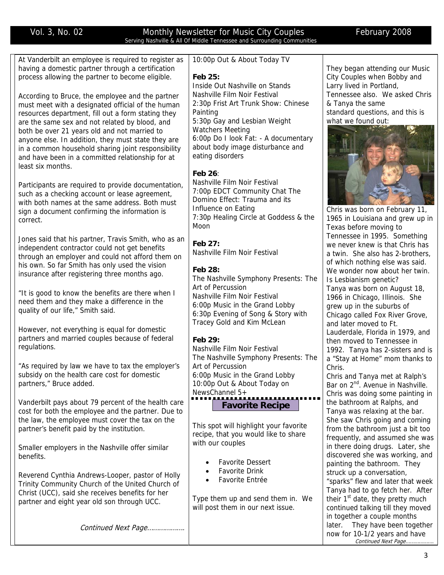#### Vol. 3, No. 02 Monthly Newsletter for Music City Couples February 2008 Serving Nashville & All Of Middle Tennessee and Surrounding Communities

|                                                                                               | Serving Nashville & All Of Milddle Tennessee and Surrounding Communities |                                                                     |
|-----------------------------------------------------------------------------------------------|--------------------------------------------------------------------------|---------------------------------------------------------------------|
| At Vanderbilt an employee is required to register as                                          | 10:00p Out & About Today TV                                              |                                                                     |
| having a domestic partner through a certification                                             |                                                                          | They began attending our Music                                      |
| process allowing the partner to become eligible.                                              | Feb 25:                                                                  | City Couples when Bobby and                                         |
|                                                                                               | Inside Out Nashville on Stands                                           | Larry lived in Portland,                                            |
| According to Bruce, the employee and the partner                                              | Nashville Film Noir Festival                                             | Tennessee also. We asked Chris                                      |
| must meet with a designated official of the human                                             | 2:30p Frist Art Trunk Show: Chinese                                      | & Tanya the same                                                    |
| resources department, fill out a form stating they                                            | Painting                                                                 | standard questions, and this is                                     |
| are the same sex and not related by blood, and                                                | 5:30p Gay and Lesbian Weight                                             | what we found out:                                                  |
| both be over 21 years old and not married to                                                  | <b>Watchers Meeting</b>                                                  |                                                                     |
| anyone else. In addition, they must state they are                                            | 6:00p Do I look Fat: - A documentary                                     |                                                                     |
| in a common household sharing joint responsibility                                            | about body image disturbance and                                         |                                                                     |
| and have been in a committed relationship for at                                              | eating disorders                                                         |                                                                     |
| least six months.                                                                             | Feb 26:                                                                  |                                                                     |
|                                                                                               | Nashville Film Noir Festival                                             |                                                                     |
| Participants are required to provide documentation,                                           | 7:00p EDCT Community Chat The                                            |                                                                     |
| such as a checking account or lease agreement,                                                | Domino Effect: Trauma and its                                            |                                                                     |
| with both names at the same address. Both must                                                | Influence on Eating                                                      | Chris was born on February 11,                                      |
| sign a document confirming the information is<br>correct.                                     | 7:30p Healing Circle at Goddess & the                                    | 1965 in Louisiana and grew up in                                    |
|                                                                                               | Moon                                                                     | Texas before moving to                                              |
| Jones said that his partner, Travis Smith, who as an                                          |                                                                          | Tennessee in 1995. Something                                        |
| independent contractor could not get benefits                                                 | Feb 27:                                                                  | we never knew is that Chris has                                     |
| through an employer and could not afford them on                                              | Nashville Film Noir Festival                                             | a twin. She also has 2-brothers,                                    |
| his own. So far Smith has only used the vision                                                |                                                                          | of which nothing else was said.                                     |
| insurance after registering three months ago.                                                 | Feb 28:                                                                  | We wonder now about her twin.                                       |
|                                                                                               | The Nashville Symphony Presents: The                                     | Is Lesbianism genetic?                                              |
| "It is good to know the benefits are there when I                                             | Art of Percussion<br>Nashville Film Noir Festival                        | Tanya was born on August 18,                                        |
| need them and they make a difference in the                                                   | 6:00p Music in the Grand Lobby                                           | 1966 in Chicago, Illinois. She                                      |
| quality of our life," Smith said.                                                             | 6:30p Evening of Song & Story with                                       | grew up in the suburbs of<br>Chicago called Fox River Grove,        |
|                                                                                               | Tracey Gold and Kim McLean                                               | and later moved to Ft.                                              |
| However, not everything is equal for domestic                                                 |                                                                          | Lauderdale, Florida in 1979, and                                    |
| partners and married couples because of federal                                               | Feb 29:                                                                  | then moved to Tennessee in                                          |
| regulations.                                                                                  | Nashville Film Noir Festival                                             | 1992. Tanya has 2-sisters and is                                    |
|                                                                                               | The Nashville Symphony Presents: The                                     | a "Stay at Home" mom thanks to                                      |
| "As required by law we have to tax the employer's                                             | Art of Percussion                                                        | Chris.                                                              |
| subsidy on the health care cost for domestic                                                  | 6:00p Music in the Grand Lobby                                           | Chris and Tanya met at Ralph's                                      |
| partners," Bruce added.                                                                       | 10:00p Out & About Today on                                              | Bar on 2 <sup>nd</sup> . Avenue in Nashville.                       |
|                                                                                               | NewsChannel 5+                                                           | Chris was doing some painting in                                    |
| Vanderbilt pays about 79 percent of the health care                                           | <b>Favorite Recipe</b>                                                   | the bathroom at Ralphs, and                                         |
| cost for both the employee and the partner. Due to                                            |                                                                          | Tanya was relaxing at the bar.                                      |
| the law, the employee must cover the tax on the<br>partner's benefit paid by the institution. | This spot will highlight your favorite                                   | She saw Chris going and coming                                      |
|                                                                                               | recipe, that you would like to share                                     | from the bathroom just a bit too<br>frequently, and assumed she was |
|                                                                                               | with our couples                                                         | in there doing drugs. Later, she                                    |
| Smaller employers in the Nashville offer similar<br>benefits.                                 |                                                                          | discovered she was working, and                                     |
|                                                                                               | <b>Favorite Dessert</b>                                                  | painting the bathroom. They                                         |
| Reverend Cynthia Andrews-Looper, pastor of Holly                                              | <b>Favorite Drink</b>                                                    | struck up a conversation,                                           |
| Trinity Community Church of the United Church of                                              | Favorite Entrée                                                          | "sparks" flew and later that week                                   |
| Christ (UCC), said she receives benefits for her                                              |                                                                          | Tanya had to go fetch her. After                                    |
| partner and eight year old son through UCC.                                                   | Type them up and send them in. We                                        | their 1 <sup>st</sup> date, they pretty much                        |
|                                                                                               | will post them in our next issue.                                        | continued talking till they moved                                   |
|                                                                                               |                                                                          | in together a couple months                                         |
| Continued Next Page                                                                           |                                                                          | They have been together<br>later.                                   |
|                                                                                               |                                                                          | now for 10-1/2 years and have                                       |
|                                                                                               |                                                                          | Continued Next Page                                                 |